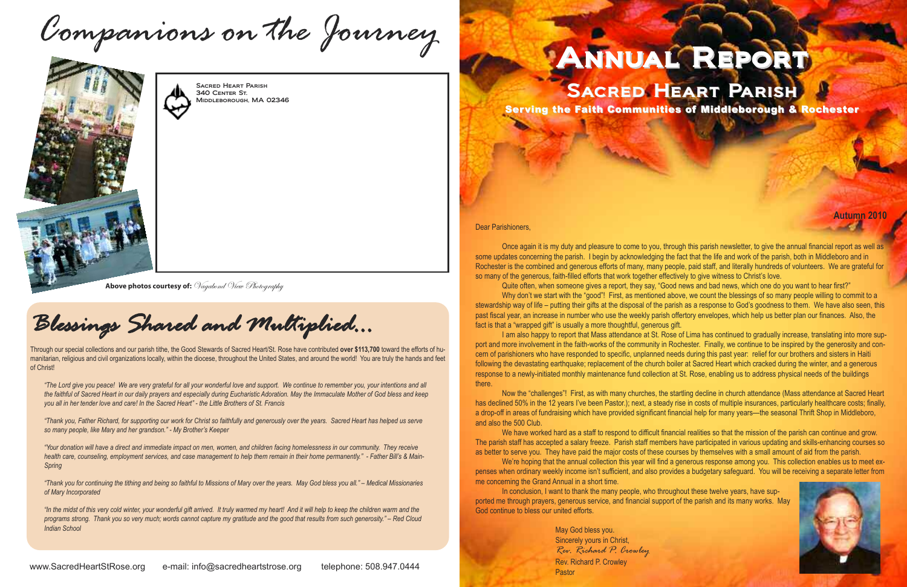**Autumn 2010**

*Contract Contract Contract Contract Contract Contract Contract Contract Contract Contract Contract Contract Contract Contract Contract Contract Contract Contract Contract Contract Contract Contract Contract Contract Cont* 

Dear Parishioners,

Once again it is my duty and pleasure to come to you, through this parish newsletter, to give the annual financial report as well as some updates concerning the parish. I begin by acknowledging the fact that the life and work of the parish, both in Middleboro and in Rochester is the combined and generous efforts of many, many people, paid staff, and literally hundreds of volunteers. We are grateful for so many of the generous, faith-filled efforts that work together effectively to give witness to Christ's love.

Quite often, when someone gives a report, they say, "Good news and bad news, which one do you want to hear first?"

Why don't we start with the "good"! First, as mentioned above, we count the blessings of so many people willing to commit to a stewardship way of life – putting their gifts at the disposal of the parish as a response to God's goodness to them. We have also seen, this past fiscal year, an increase in number who use the weekly parish offertory envelopes, which help us better plan our finances. Also, the fact is that a "wrapped gift" is usually a more thoughtful, generous gift.

I am also happy to report that Mass attendance at St. Rose of Lima has continued to gradually increase, translating into more support and more involvement in the faith-works of the community in Rochester. Finally, we continue to be inspired by the generosity and concern of parishioners who have responded to specific, unplanned needs during this past year: relief for our brothers and sisters in Haiti following the devastating earthquake; replacement of the church boiler at Sacred Heart which cracked during the winter, and a generous response to a newly-initiated monthly maintenance fund collection at St. Rose, enabling us to address physical needs of the buildings there.

In conclusion, I want to thank the many people, who throughout these twelve years, have supported me through prayers, generous service, and financial support of the parish and its many works. May God continue to bless our united efforts.

### SACRED HEART PARISH Serving the Faith Communities of Middleborough & Rochester

Now the "challenges"! First, as with many churches, the startling decline in church attendance (Mass attendance at Sacred Heart has declined 50% in the 12 years I've been Pastor.); next, a steady rise in costs of multiple insurances, particularly healthcare costs; finally, a drop-off in areas of fundraising which have provided significant financial help for many years—the seasonal Thrift Shop in Middleboro, and also the 500 Club.

"Thank you, Father Richard, for supporting our work for Christ so faithfully and generously over the years. Sacred Heart has helped us serve *so many people, like Mary and her grandson." - My Brother's Keeper*

"Your donation will have a direct and immediate impact on men, women, and children facing homelessness in our community. They receive health care, counseling, employment services, and case management to help them remain in their home permanently." - Father Bill's & Main-*Spring*

"Thank you for continuing the tithing and being so faithful to Missions of Mary over the years. May God bless you all." – Medical Missionaries *of Mary Incorporated*

We have worked hard as a staff to respond to difficult financial realities so that the mission of the parish can continue and grow. The parish staff has accepted a salary freeze. Parish staff members have participated in various updating and skills-enhancing courses so as better to serve you. They have paid the major costs of these courses by themselves with a small amount of aid from the parish. We're hoping that the annual collection this year will find a generous response among you. This collection enables us to meet expenses when ordinary weekly income isn't sufficient, and also provides a budgetary safeguard. You will be receiving a separate letter from

"In the midst of this very cold winter, your wonderful gift arrived. It truly warmed my heart! And it will help to keep the children warm and the programs strong. Thank you so very much; words cannot capture my gratitude and the good that results from such generosity." – Red Cloud *Indian School*

www.SacredHeartStRose.org e-mail: info@sacredheartstrose.org telephone: 508.947.0444



me concerning the Grand Annual in a short time.

May God bless you. Sincerely yours in Christ, *Rev. Richard P. Crowley* Rev. Richard P. Crowley Pastor

## Annual Report



Sacred Heart Parish 340 Center St. Middleborough, MA 02346

**Above photos courtesy of:**  $\mathcal V$ agabond  $\mathcal V$ iew Photography

# *Companions on the Journey*



*Blessings Shared and Multiplied...*

Through our special collections and our parish tithe, the Good Stewards of Sacred Heart/St. Rose have contributed **over \$113,700** toward the efforts of humanitarian, religious and civil organizations locally, within the diocese, throughout the United States, and around the world! You are truly the hands and feet of Christ!

"The Lord give you peace! We are very grateful for all your wonderful love and support. We continue to remember you, your intentions and all the faithful of Sacred Heart in our daily prayers and especially during Eucharistic Adoration. May the Immaculate Mother of God bless and keep you all in her tender love and care! In the Sacred Heart" - the Little Brothers of St. Francis